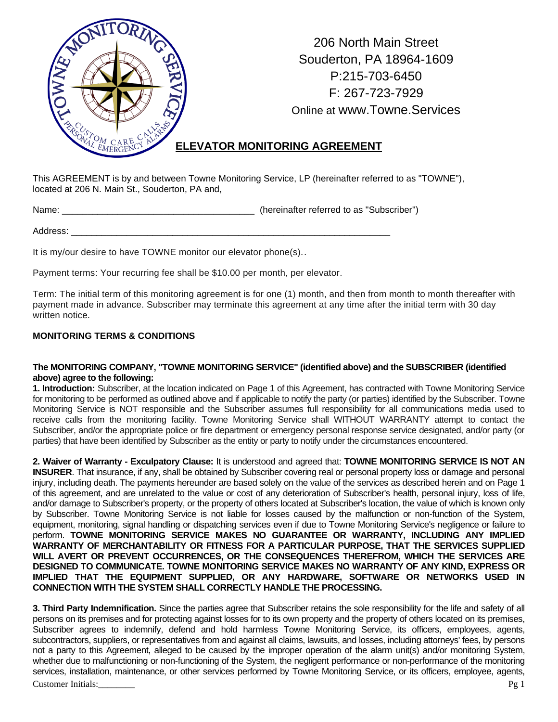

206 North Main Street Souderton, PA 18964-1609 P:215-703-6450 F: 267-723-7929 Online at www.Towne.Services

## **ELEVATOR MONITORING AGREEMENT**

This AGREEMENT is by and between Towne Monitoring Service, LP (hereinafter referred to as "TOWNE"), located at 206 N. Main St., Souderton, PA and,

Name: \_\_\_\_\_\_\_\_\_\_\_\_\_\_\_\_\_\_\_\_\_\_\_\_\_\_\_\_\_\_\_\_\_\_\_\_\_\_ (hereinafter referred to as "Subscriber")

Address:

It is my/our desire to have TOWNE monitor our elevator phone(s)..

Payment terms: Your recurring fee shall be \$10.00 per month, per elevator.

Term: The initial term of this monitoring agreement is for one (1) month, and then from month to month thereafter with payment made in advance. Subscriber may terminate this agreement at any time after the initial term with 30 day written notice.

## **MONITORING TERMS & CONDITIONS**

## **The MONITORING COMPANY, "TOWNE MONITORING SERVICE" (identified above) and the SUBSCRIBER (identified above) agree to the following:**

**1. Introduction:** Subscriber, at the location indicated on Page 1 of this Agreement, has contracted with Towne Monitoring Service for monitoring to be performed as outlined above and if applicable to notify the party (or parties) identified by the Subscriber. Towne Monitoring Service is NOT responsible and the Subscriber assumes full responsibility for all communications media used to receive calls from the monitoring facility. Towne Monitoring Service shall WITHOUT WARRANTY attempt to contact the Subscriber, and/or the appropriate police or fire department or emergency personal response service designated, and/or party (or parties) that have been identified by Subscriber as the entity or party to notify under the circumstances encountered.

**2. Waiver of Warranty - Exculpatory Clause:** It is understood and agreed that: **TOWNE MONITORING SERVICE IS NOT AN INSURER**. That insurance, if any, shall be obtained by Subscriber covering real or personal property loss or damage and personal injury, including death. The payments hereunder are based solely on the value of the services as described herein and on Page 1 of this agreement, and are unrelated to the value or cost of any deterioration of Subscriber's health, personal injury, loss of life, and/or damage to Subscriber's property, or the property of others located at Subscriber's location, the value of which is known only by Subscriber. Towne Monitoring Service is not liable for losses caused by the malfunction or non-function of the System, equipment, monitoring, signal handling or dispatching services even if due to Towne Monitoring Service's negligence or failure to perform. **TOWNE MONITORING SERVICE MAKES NO GUARANTEE OR WARRANTY, INCLUDING ANY IMPLIED WARRANTY OF MERCHANTABILITY OR FITNESS FOR A PARTICULAR PURPOSE, THAT THE SERVICES SUPPLIED WILL AVERT OR PREVENT OCCURRENCES, OR THE CONSEQUENCES THEREFROM, WHICH THE SERVICES ARE DESIGNED TO COMMUNICATE. TOWNE MONITORING SERVICE MAKES NO WARRANTY OF ANY KIND, EXPRESS OR IMPLIED THAT THE EQUIPMENT SUPPLIED, OR ANY HARDWARE, SOFTWARE OR NETWORKS USED IN CONNECTION WITH THE SYSTEM SHALL CORRECTLY HANDLE THE PROCESSING.** 

Customer Initials: Pg 1 **3. Third Party Indemnification.** Since the parties agree that Subscriber retains the sole responsibility for the life and safety of all persons on its premises and for protecting against losses for to its own property and the property of others located on its premises, Subscriber agrees to indemnify, defend and hold harmless Towne Monitoring Service, its officers, employees, agents, subcontractors, suppliers, or representatives from and against all claims, lawsuits, and losses, including attorneys' fees, by persons not a party to this Agreement, alleged to be caused by the improper operation of the alarm unit(s) and/or monitoring System, whether due to malfunctioning or non-functioning of the System, the negligent performance or non-performance of the monitoring services, installation, maintenance, or other services performed by Towne Monitoring Service, or its officers, employee, agents,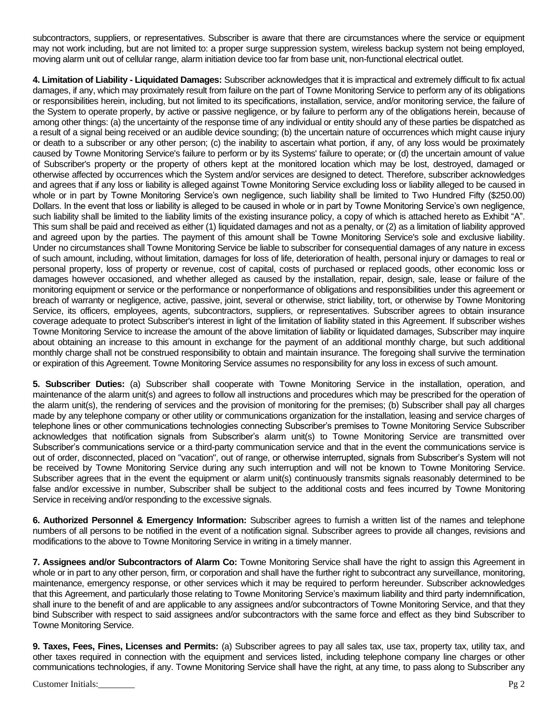subcontractors, suppliers, or representatives. Subscriber is aware that there are circumstances where the service or equipment may not work including, but are not limited to: a proper surge suppression system, wireless backup system not being employed, moving alarm unit out of cellular range, alarm initiation device too far from base unit, non-functional electrical outlet.

**4. Limitation of Liability - Liquidated Damages:** Subscriber acknowledges that it is impractical and extremely difficult to fix actual damages, if any, which may proximately result from failure on the part of Towne Monitoring Service to perform any of its obligations or responsibilities herein, including, but not limited to its specifications, installation, service, and/or monitoring service, the failure of the System to operate properly, by active or passive negligence, or by failure to perform any of the obligations herein, because of among other things: (a) the uncertainty of the response time of any individual or entity should any of these parties be dispatched as a result of a signal being received or an audible device sounding; (b) the uncertain nature of occurrences which might cause injury or death to a subscriber or any other person; (c) the inability to ascertain what portion, if any, of any loss would be proximately caused by Towne Monitoring Service's failure to perform or by its Systems' failure to operate; or (d) the uncertain amount of value of Subscriber's property or the property of others kept at the monitored location which may be lost, destroyed, damaged or otherwise affected by occurrences which the System and/or services are designed to detect. Therefore, subscriber acknowledges and agrees that if any loss or liability is alleged against Towne Monitoring Service excluding loss or liability alleged to be caused in whole or in part by Towne Monitoring Service's own negligence, such liability shall be limited to Two Hundred Fifty (\$250.00) Dollars. In the event that loss or liability is alleged to be caused in whole or in part by Towne Monitoring Service's own negligence, such liability shall be limited to the liability limits of the existing insurance policy, a copy of which is attached hereto as Exhibit "A". This sum shall be paid and received as either (1) liquidated damages and not as a penalty, or (2) as a limitation of liability approved and agreed upon by the parties. The payment of this amount shall be Towne Monitoring Service's sole and exclusive liability. Under no circumstances shall Towne Monitoring Service be liable to subscriber for consequential damages of any nature in excess of such amount, including, without limitation, damages for loss of life, deterioration of health, personal injury or damages to real or personal property, loss of property or revenue, cost of capital, costs of purchased or replaced goods, other economic loss or damages however occasioned, and whether alleged as caused by the installation, repair, design, sale, lease or failure of the monitoring equipment or service or the performance or nonperformance of obligations and responsibilities under this agreement or breach of warranty or negligence, active, passive, joint, several or otherwise, strict liability, tort, or otherwise by Towne Monitoring Service, its officers, employees, agents, subcontractors, suppliers, or representatives. Subscriber agrees to obtain insurance coverage adequate to protect Subscriber's interest in light of the limitation of liability stated in this Agreement. If subscriber wishes Towne Monitoring Service to increase the amount of the above limitation of liability or liquidated damages, Subscriber may inquire about obtaining an increase to this amount in exchange for the payment of an additional monthly charge, but such additional monthly charge shall not be construed responsibility to obtain and maintain insurance. The foregoing shall survive the termination or expiration of this Agreement. Towne Monitoring Service assumes no responsibility for any loss in excess of such amount.

**5. Subscriber Duties:** (a) Subscriber shall cooperate with Towne Monitoring Service in the installation, operation, and maintenance of the alarm unit(s) and agrees to follow all instructions and procedures which may be prescribed for the operation of the alarm unit(s), the rendering of services and the provision of monitoring for the premises; (b) Subscriber shall pay all charges made by any telephone company or other utility or communications organization for the installation, leasing and service charges of telephone lines or other communications technologies connecting Subscriber's premises to Towne Monitoring Service Subscriber acknowledges that notification signals from Subscriber's alarm unit(s) to Towne Monitoring Service are transmitted over Subscriber's communications service or a third-party communication service and that in the event the communications service is out of order, disconnected, placed on "vacation", out of range, or otherwise interrupted, signals from Subscriber's System will not be received by Towne Monitoring Service during any such interruption and will not be known to Towne Monitoring Service. Subscriber agrees that in the event the equipment or alarm unit(s) continuously transmits signals reasonably determined to be false and/or excessive in number, Subscriber shall be subject to the additional costs and fees incurred by Towne Monitoring Service in receiving and/or responding to the excessive signals.

**6. Authorized Personnel & Emergency Information:** Subscriber agrees to furnish a written list of the names and telephone numbers of all persons to be notified in the event of a notification signal. Subscriber agrees to provide all changes, revisions and modifications to the above to Towne Monitoring Service in writing in a timely manner.

**7. Assignees and/or Subcontractors of Alarm Co:** Towne Monitoring Service shall have the right to assign this Agreement in whole or in part to any other person, firm, or corporation and shall have the further right to subcontract any surveillance, monitoring, maintenance, emergency response, or other services which it may be required to perform hereunder. Subscriber acknowledges that this Agreement, and particularly those relating to Towne Monitoring Service's maximum liability and third party indemnification, shall inure to the benefit of and are applicable to any assignees and/or subcontractors of Towne Monitoring Service, and that they bind Subscriber with respect to said assignees and/or subcontractors with the same force and effect as they bind Subscriber to Towne Monitoring Service.

**9. Taxes, Fees, Fines, Licenses and Permits:** (a) Subscriber agrees to pay all sales tax, use tax, property tax, utility tax, and other taxes required in connection with the equipment and services listed, including telephone company line charges or other communications technologies, if any. Towne Monitoring Service shall have the right, at any time, to pass along to Subscriber any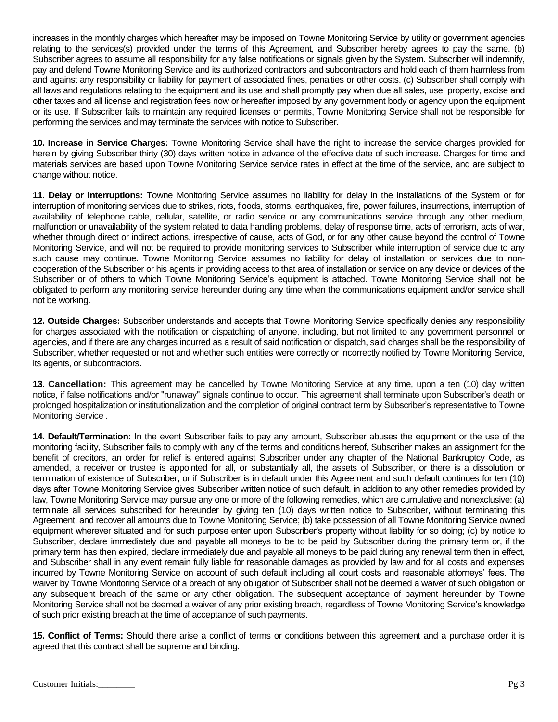increases in the monthly charges which hereafter may be imposed on Towne Monitoring Service by utility or government agencies relating to the services(s) provided under the terms of this Agreement, and Subscriber hereby agrees to pay the same. (b) Subscriber agrees to assume all responsibility for any false notifications or signals given by the System. Subscriber will indemnify, pay and defend Towne Monitoring Service and its authorized contractors and subcontractors and hold each of them harmless from and against any responsibility or liability for payment of associated fines, penalties or other costs. (c) Subscriber shall comply with all laws and regulations relating to the equipment and its use and shall promptly pay when due all sales, use, property, excise and other taxes and all license and registration fees now or hereafter imposed by any government body or agency upon the equipment or its use. If Subscriber fails to maintain any required licenses or permits, Towne Monitoring Service shall not be responsible for performing the services and may terminate the services with notice to Subscriber.

**10. Increase in Service Charges:** Towne Monitoring Service shall have the right to increase the service charges provided for herein by giving Subscriber thirty (30) days written notice in advance of the effective date of such increase. Charges for time and materials services are based upon Towne Monitoring Service service rates in effect at the time of the service, and are subject to change without notice.

**11. Delay or Interruptions:** Towne Monitoring Service assumes no liability for delay in the installations of the System or for interruption of monitoring services due to strikes, riots, floods, storms, earthquakes, fire, power failures, insurrections, interruption of availability of telephone cable, cellular, satellite, or radio service or any communications service through any other medium, malfunction or unavailability of the system related to data handling problems, delay of response time, acts of terrorism, acts of war, whether through direct or indirect actions, irrespective of cause, acts of God, or for any other cause beyond the control of Towne Monitoring Service, and will not be required to provide monitoring services to Subscriber while interruption of service due to any such cause may continue. Towne Monitoring Service assumes no liability for delay of installation or services due to noncooperation of the Subscriber or his agents in providing access to that area of installation or service on any device or devices of the Subscriber or of others to which Towne Monitoring Service's equipment is attached. Towne Monitoring Service shall not be obligated to perform any monitoring service hereunder during any time when the communications equipment and/or service shall not be working.

**12. Outside Charges:** Subscriber understands and accepts that Towne Monitoring Service specifically denies any responsibility for charges associated with the notification or dispatching of anyone, including, but not limited to any government personnel or agencies, and if there are any charges incurred as a result of said notification or dispatch, said charges shall be the responsibility of Subscriber, whether requested or not and whether such entities were correctly or incorrectly notified by Towne Monitoring Service, its agents, or subcontractors.

**13. Cancellation:** This agreement may be cancelled by Towne Monitoring Service at any time, upon a ten (10) day written notice, if false notifications and/or "runaway" signals continue to occur. This agreement shall terminate upon Subscriber's death or prolonged hospitalization or institutionalization and the completion of original contract term by Subscriber's representative to Towne Monitoring Service .

**14. Default/Termination:** In the event Subscriber fails to pay any amount, Subscriber abuses the equipment or the use of the monitoring facility, Subscriber fails to comply with any of the terms and conditions hereof, Subscriber makes an assignment for the benefit of creditors, an order for relief is entered against Subscriber under any chapter of the National Bankruptcy Code, as amended, a receiver or trustee is appointed for all, or substantially all, the assets of Subscriber, or there is a dissolution or termination of existence of Subscriber, or if Subscriber is in default under this Agreement and such default continues for ten (10) days after Towne Monitoring Service gives Subscriber written notice of such default, in addition to any other remedies provided by law, Towne Monitoring Service may pursue any one or more of the following remedies, which are cumulative and nonexclusive: (a) terminate all services subscribed for hereunder by giving ten (10) days written notice to Subscriber, without terminating this Agreement, and recover all amounts due to Towne Monitoring Service; (b) take possession of all Towne Monitoring Service owned equipment wherever situated and for such purpose enter upon Subscriber's property without liability for so doing; (c) by notice to Subscriber, declare immediately due and payable all moneys to be to be paid by Subscriber during the primary term or, if the primary term has then expired, declare immediately due and payable all moneys to be paid during any renewal term then in effect, and Subscriber shall in any event remain fully liable for reasonable damages as provided by law and for all costs and expenses incurred by Towne Monitoring Service on account of such default including all court costs and reasonable attorneys' fees. The waiver by Towne Monitoring Service of a breach of any obligation of Subscriber shall not be deemed a waiver of such obligation or any subsequent breach of the same or any other obligation. The subsequent acceptance of payment hereunder by Towne Monitoring Service shall not be deemed a waiver of any prior existing breach, regardless of Towne Monitoring Service's knowledge of such prior existing breach at the time of acceptance of such payments.

**15. Conflict of Terms:** Should there arise a conflict of terms or conditions between this agreement and a purchase order it is agreed that this contract shall be supreme and binding.